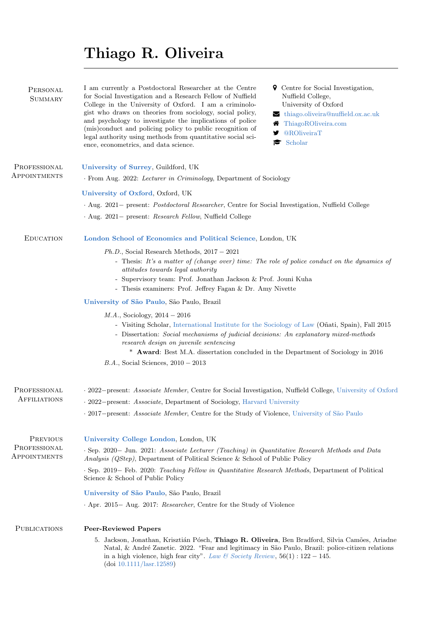# Thiago R. Oliveira

| PERSONAL<br><b>SUMMARY</b>               | I am currently a Postdoctoral Researcher at the Centre<br><b>9</b> Centre for Social Investigation,<br>for Social Investigation and a Research Fellow of Nuffield<br>Nuffield College,<br>College in the University of Oxford. I am a criminolo-<br>University of Oxford<br>gist who draws on theories from sociology, social policy,<br>$\blacktriangleright$ thiago.oliveira@nuffield.ox.ac.uk<br>and psychology to investigate the implications of police<br>ThiagoROliveira.com<br>(mis)conduct and policing policy to public recognition of<br><b>@ROliveiraT</b><br>У<br>legal authority using methods from quantitative social sci-<br>Scholar<br>r<br>ence, econometrics, and data science. |  |  |
|------------------------------------------|-----------------------------------------------------------------------------------------------------------------------------------------------------------------------------------------------------------------------------------------------------------------------------------------------------------------------------------------------------------------------------------------------------------------------------------------------------------------------------------------------------------------------------------------------------------------------------------------------------------------------------------------------------------------------------------------------------|--|--|
| PROFESSIONAL<br>APPOINTMENTS             | University of Surrey, Guildford, UK                                                                                                                                                                                                                                                                                                                                                                                                                                                                                                                                                                                                                                                                 |  |  |
|                                          | . From Aug. 2022: Lecturer in Criminology, Department of Sociology                                                                                                                                                                                                                                                                                                                                                                                                                                                                                                                                                                                                                                  |  |  |
|                                          | University of Oxford, Oxford, UK                                                                                                                                                                                                                                                                                                                                                                                                                                                                                                                                                                                                                                                                    |  |  |
|                                          | Aug. 2021 – present: <i>Postdoctoral Researcher</i> , Centre for Social Investigation, Nuffield College                                                                                                                                                                                                                                                                                                                                                                                                                                                                                                                                                                                             |  |  |
|                                          | · Aug. 2021 – present: Research Fellow, Nuffield College                                                                                                                                                                                                                                                                                                                                                                                                                                                                                                                                                                                                                                            |  |  |
| <b>EDUCATION</b>                         | London School of Economics and Political Science, London, UK                                                                                                                                                                                                                                                                                                                                                                                                                                                                                                                                                                                                                                        |  |  |
|                                          | $Ph.D.,$ Social Research Methods, $2017 - 2021$<br>- Thesis: It's a matter of (change over) time: The role of police conduct on the dynamics of<br>attitudes towards legal authority<br>- Supervisory team: Prof. Jonathan Jackson & Prof. Jouni Kuha<br>- Thesis examiners: Prof. Jeffrey Fagan & Dr. Amy Nivette                                                                                                                                                                                                                                                                                                                                                                                  |  |  |
|                                          | University of São Paulo, São Paulo, Brazil                                                                                                                                                                                                                                                                                                                                                                                                                                                                                                                                                                                                                                                          |  |  |
|                                          | <i>M.A.</i> , Sociology, $2014 - 2016$<br>- Visiting Scholar, International Institute for the Sociology of Law (Oñati, Spain), Fall 2015<br>- Dissertation: Social mechanisms of judicial decisions: An explanatory mixed-methods<br>research design on juvenile sentencing<br>* Award: Best M.A. dissertation concluded in the Department of Sociology in 2016<br>$B.A.,$ Social Sciences, $2010-2013$                                                                                                                                                                                                                                                                                             |  |  |
| PROFESSIONAL<br><b>AFFILIATIONS</b>      | . 2022–present: Associate Member, Centre for Social Investigation, Nuffield College, University of Oxford                                                                                                                                                                                                                                                                                                                                                                                                                                                                                                                                                                                           |  |  |
|                                          | . 2022–present: <i>Associate</i> , Department of Sociology, Harvard University                                                                                                                                                                                                                                                                                                                                                                                                                                                                                                                                                                                                                      |  |  |
|                                          | 2017-present: Associate Member, Centre for the Study of Violence, University of São Paulo                                                                                                                                                                                                                                                                                                                                                                                                                                                                                                                                                                                                           |  |  |
| PREVIOUS<br>PROFESSIONAL<br>APPOINTMENTS | University College London, London, UK                                                                                                                                                                                                                                                                                                                                                                                                                                                                                                                                                                                                                                                               |  |  |
|                                          | $\cdot$ Sep. 2020 – Jun. 2021: Associate Lecturer (Teaching) in Quantitative Research Methods and Data<br>Analysis (QStep), Department of Political Science & School of Public Policy                                                                                                                                                                                                                                                                                                                                                                                                                                                                                                               |  |  |
|                                          | · Sep. 2019 – Feb. 2020: Teaching Fellow in Quantitative Research Methods, Department of Political<br>Science & School of Public Policy                                                                                                                                                                                                                                                                                                                                                                                                                                                                                                                                                             |  |  |
|                                          | University of São Paulo, São Paulo, Brazil                                                                                                                                                                                                                                                                                                                                                                                                                                                                                                                                                                                                                                                          |  |  |
|                                          | Apr. 2015 – Aug. 2017: Researcher, Centre for the Study of Violence                                                                                                                                                                                                                                                                                                                                                                                                                                                                                                                                                                                                                                 |  |  |
| <b>PUBLICATIONS</b>                      | <b>Peer-Reviewed Papers</b>                                                                                                                                                                                                                                                                                                                                                                                                                                                                                                                                                                                                                                                                         |  |  |
|                                          | 5. Jackson, Jonathan, Krisztián Pósch, Thiago R. Oliveira, Ben Bradford, Silvia Camões, Ariadne<br>Natal, & André Zanetic. 2022. "Fear and legitimacy in São Paulo, Brazil: police-citizen relations<br>in a high violence, high fear city". Law & Society Review, $56(1)$ : $122 - 145$ .<br>(doi 10.1111/last.12589)                                                                                                                                                                                                                                                                                                                                                                              |  |  |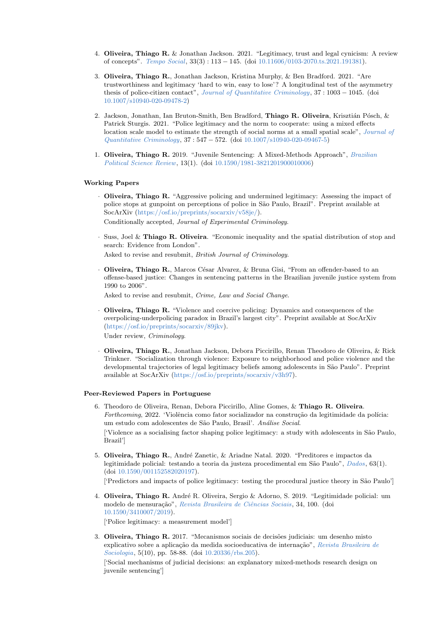- 4. Oliveira, Thiago R. & Jonathan Jackson. 2021. "Legitimacy, trust and legal cynicism: A review of concepts". [Tempo Social](https://www.scielo.br/j/ts/a/bFsqvFF3DmrTzJKx3VFkgKN/abstract/?lang=en), 33(3) : 113 − 145. (doi [10.11606/0103-2070.ts.2021.191381\)](https://doi.org/10.11606/0103-2070.ts.2021.191381).
- 3. Oliveira, Thiago R., Jonathan Jackson, Kristina Murphy, & Ben Bradford. 2021. "Are trustworthiness and legitimacy 'hard to win, easy to lose'? A longitudinal test of the asymmetry thesis of police-citizen contact", [Journal of Quantitative Criminology](https://link.springer.com/article/10.1007/s10940-020-09478-2), 37 : 1003 − 1045. (doi [10.1007/s10940-020-09478-2\)](https://doi.org/10.1007/s10940-020-09478-2)
- 2. Jackson, Jonathan, Ian Bruton-Smith, Ben Bradford, Thiago R. Oliveira, Krisztián Pósch, & Patrick Sturgis. 2021. "Police legitimacy and the norm to cooperate: using a mixed effects location scale model to estimate the strength of social norms at a small spatial scale", [Journal of](https://link.springer.com/article/10.1007%2Fs10940-020-09467-5) [Quantitative Criminology](https://link.springer.com/article/10.1007%2Fs10940-020-09467-5), 37 : 547 − 572. (doi [10.1007/s10940-020-09467-5\)](https://doi.org/10.1007/s10940-020-09467-5)
- 1. Oliveira, Thiago R. 2019. "Juvenile Sentencing: A Mixed-Methods Approach", [Brazilian](https://www.scielo.br/j/bpsr/a/sHHTkc5pzVzgCYQLWDJ9kzH/?lang=en) [Political Science Review](https://www.scielo.br/j/bpsr/a/sHHTkc5pzVzgCYQLWDJ9kzH/?lang=en), 13(1). (doi [10.1590/1981-3821201900010006\)](http://dx.doi.org/10.1590/1981-3821201900010006)

## Working Papers

- · Oliveira, Thiago R. "Aggressive policing and undermined legitimacy: Assessing the impact of police stops at gunpoint on perceptions of police in S˜ao Paulo, Brazil". Preprint available at SocArXiv [\(https://osf.io/preprints/socarxiv/v58je/\)](https://osf.io/preprints/socarxiv/v58je/). Conditionally accepted, Journal of Experimental Criminology.
- · Suss, Joel & Thiago R. Oliveira. "Economic inequality and the spatial distribution of stop and search: Evidence from London". Asked to revise and resubmit, British Journal of Criminology.
- Oliveira, Thiago R., Marcos César Alvarez, & Bruna Gisi, "From an offender-based to an offense-based justice: Changes in sentencing patterns in the Brazilian juvenile justice system from 1990 to 2006".

Asked to revise and resubmit, Crime, Law and Social Change.

- · Oliveira, Thiago R. "Violence and coercive policing: Dynamics and consequences of the overpolicing-underpolicing paradox in Brazil's largest city". Preprint available at SocArXiv [\(https://osf.io/preprints/socarxiv/89jkv\)](https://osf.io/preprints/socarxiv/89jkv). Under review, Criminology.
- · Oliveira, Thiago R., Jonathan Jackson, Debora Piccirillo, Renan Theodoro de Oliveira, & Rick Trinkner. "Socialization through violence: Exposure to neighborhood and police violence and the developmental trajectories of legal legitimacy beliefs among adolescents in S˜ao Paulo". Preprint available at SocArXiv [\(https://osf.io/preprints/socarxiv/v3h97\)](https://osf.io/preprints/socarxiv/v3h97).

#### Peer-Reviewed Papers in Portuguese

- 6. Theodoro de Oliveira, Renan, Debora Piccirillo, Aline Gomes, & Thiago R. Oliveira. Forthcoming, 2022. 'Violência como fator socializador na construção da legitimidade da polícia: um estudo com adolescentes de São Paulo, Brasil'. Análise Social. ['Violence as a socialising factor shaping police legitimacy: a study with adolescents in S˜ao Paulo, Brazil']
- 5. Oliveira, Thiago R., André Zanetic, & Ariadne Natal. 2020. "Preditores e impactos da legitimidade policial: testando a teoria da justeza procedimental em São Paulo", [Dados](https://www.scielo.br/j/dados/a/kyK3d9htJj78DZvqF8xGv8K/?lang=pt), 63(1). (doi [10.1590/001152582020197\)](http://dx.doi.org/10.1590/001152582020197).

['Predictors and impacts of police legitimacy: testing the procedural justice theory in São Paulo']

4. Oliveira, Thiago R. André R. Oliveira, Sergio & Adorno, S. 2019. "Legitimidade policial: um modelo de mensuração", Revista Brasileira de Ciências Sociais, 34, 100. (doi [10.1590/3410007/2019\)](http://dx.doi.org/10.1590/3410007/2019).

['Police legitimacy: a measurement model']

3. Oliveira, Thiago R. 2017. "Mecanismos sociais de decisões judiciais: um desenho misto explicativo sobre a aplicação da medida socioeducativa de internação", [Revista Brasileira de](https://rbs.sbsociologia.com.br/index.php/rbs/article/view/281) [Sociologia](https://rbs.sbsociologia.com.br/index.php/rbs/article/view/281), 5(10), pp. 58-88. (doi [10.20336/rbs.205\)](http://dx.doi.org/10.20336/rbs.205).

['Social mechanisms of judicial decisions: an explanatory mixed-methods research design on juvenile sentencing']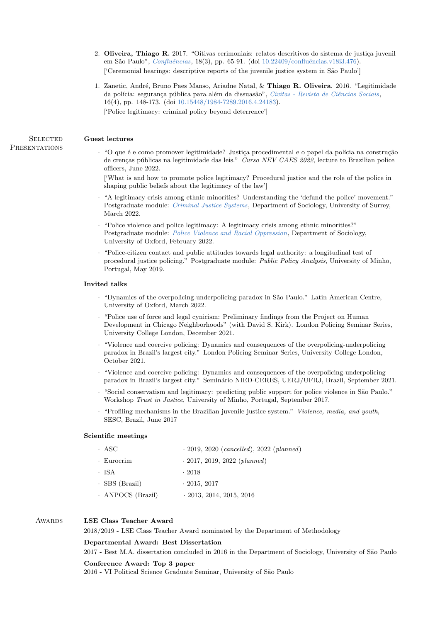- 2. Oliveira, Thiago R. 2017. "Oitivas cerimoniais: relatos descritivos do sistema de justiça juvenil em São Paulo", Confluências, 18(3), pp. 65-91. (doi 10.22409/confluências.v18i3.476). ['Ceremonial hearings: descriptive reports of the juvenile justice system in São Paulo']
- 1. Zanetic, André, Bruno Paes Manso, Ariadne Natal, & Thiago R. Oliveira. 2016. "Legitimidade da polícia: segurança pública para além da dissuasão", Civitas - Revista de Ciências Sociais, 16(4), pp. 148-173. (doi [10.15448/1984-7289.2016.4.24183\)](http://dx.doi.org/10.15448/1984-7289.2016.4.24183). ['Police legitimacy: criminal policy beyond deterrence']

### SELECTED Guest lectures

· "O que é e como promover legitimidade? Justiça procedimental e o papel da polícia na construção de crenças públicas na legitimidade das leis." Curso NEV CAES 2022, lecture to Brazilian police officers, June 2022.

['What is and how to promote police legitimacy? Procedural justice and the role of the police in shaping public beliefs about the legitimacy of the law']

- · "A legitimacy crisis among ethnic minorities? Understanding the 'defund the police' movement." Postgraduate module: [Criminal Justice Systems](https://catalogue.surrey.ac.uk/2022-3/module/SOCM008/SEMR2/2R), Department of Sociology, University of Surrey, March 2022.
- · "Police violence and police legitimacy: A legitimacy crisis among ethnic minorities?" Postgraduate module: [Police Violence and Racial Oppression](https://www.ox.ac.uk/sites/files/oxford/media_wysiwyg/MSc_in_Sociology_2022-23entry_14Oct2021.pdf), Department of Sociology, University of Oxford, February 2022.
- · "Police-citizen contact and public attitudes towards legal authority: a longitudinal test of procedural justice policing." Postgraduate module: Public Policy Analysis, University of Minho, Portugal, May 2019.

### Invited talks

- · "Dynamics of the overpolicing-underpolicing paradox in S˜ao Paulo." Latin American Centre, University of Oxford, March 2022.
- · "Police use of force and legal cynicism: Preliminary findings from the Project on Human Development in Chicago Neighborhoods" (with David S. Kirk). London Policing Seminar Series, University College London, December 2021.
- · "Violence and coercive policing: Dynamics and consequences of the overpolicing-underpolicing paradox in Brazil's largest city." London Policing Seminar Series, University College London, October 2021.
- · "Violence and coercive policing: Dynamics and consequences of the overpolicing-underpolicing paradox in Brazil's largest city." Seminário NIED-CERES, UERJ/UFRJ, Brazil, September 2021.
- · "Social conservatism and legitimacy: predicting public support for police violence in São Paulo." Workshop Trust in Justice, University of Minho, Portugal, September 2017.
- · "Profiling mechanisms in the Brazilian juvenile justice system." Violence, media, and youth, SESC, Brazil, June 2017

## Scientific meetings

| · ASC                | $-2019, 2020 (cancelled), 2022 (planned)$ |
|----------------------|-------------------------------------------|
| · Eurocrim           | $\cdot$ 2017, 2019, 2022 (planned)        |
| · ISA                | $\cdot$ 2018                              |
| $\cdot$ SBS (Brazil) | $\cdot$ 2015, 2017                        |
| · ANPOCS (Brazil)    | $-2013, 2014, 2015, 2016$                 |

## AWARDS LSE Class Teacher Award

2018/2019 - LSE Class Teacher Award nominated by the Department of Methodology

#### Departmental Award: Best Dissertation

2017 - Best M.A. dissertation concluded in 2016 in the Department of Sociology, University of S˜ao Paulo

#### Conference Award: Top 3 paper

2016 - VI Political Science Graduate Seminar, University of São Paulo

## **PRESENTATIONS**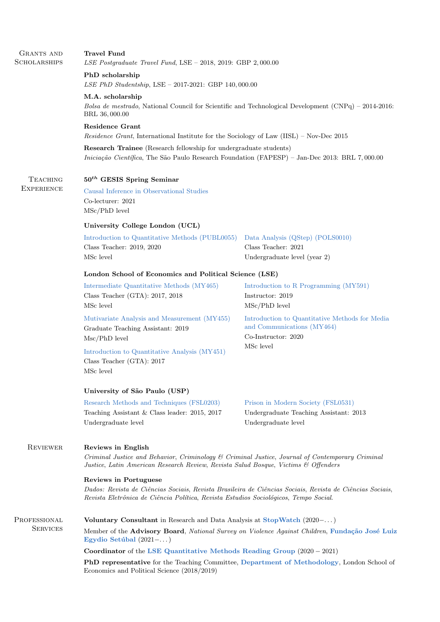| GRANTS AND<br><b>SCHOLARSHIPS</b>    | <b>Travel Fund</b><br>LSE Postgraduate Travel Fund, LSE $-$ 2018, 2019: GBP 2,000.00                                                                                                                                      |                                                                                                     |  |
|--------------------------------------|---------------------------------------------------------------------------------------------------------------------------------------------------------------------------------------------------------------------------|-----------------------------------------------------------------------------------------------------|--|
|                                      | PhD scholarship<br>LSE PhD Studentship, LSE $-$ 2017-2021: GBP 140,000.00                                                                                                                                                 |                                                                                                     |  |
|                                      | M.A. scholarship<br>Bolsa de mestrado, National Council for Scientific and Technological Development (CNPq) – 2014-2016:<br>BRL 36,000.00                                                                                 |                                                                                                     |  |
|                                      | <b>Residence Grant</b><br><i>Residence Grant</i> , International Institute for the Sociology of Law (IISL) – Nov-Dec 2015                                                                                                 |                                                                                                     |  |
|                                      | <b>Research Trainee</b> (Research fellowship for undergraduate students)<br>Iniciação Científica, The São Paulo Research Foundation (FAPESP) – Jan-Dec 2013: BRL 7,000.00                                                 |                                                                                                     |  |
| <b>TEACHING</b><br><b>EXPERIENCE</b> | $50th$ GESIS Spring Seminar                                                                                                                                                                                               |                                                                                                     |  |
|                                      | Causal Inference in Observational Studies<br>Co-lecturer: 2021<br>$MSc/PhD$ level                                                                                                                                         |                                                                                                     |  |
|                                      | University College London (UCL)                                                                                                                                                                                           |                                                                                                     |  |
|                                      | Introduction to Quantitative Methods (PUBL0055)<br>Class Teacher: 2019, 2020<br>MSc level                                                                                                                                 | Data Analysis (QStep) (POLS0010)<br>Class Teacher: 2021<br>Undergraduate level (year 2)             |  |
|                                      | London School of Economics and Political Science (LSE)                                                                                                                                                                    |                                                                                                     |  |
|                                      | Intermediate Quantitative Methods (MY465)<br>Class Teacher (GTA): 2017, 2018<br>MSc level                                                                                                                                 | Introduction to R Programming (MY591)<br>Instructor: 2019<br>$MSc/PhD$ level                        |  |
|                                      | Mutivariate Analysis and Measurement (MY455)<br>Graduate Teaching Assistant: 2019<br>$Msc/PhD$ level                                                                                                                      | Introduction to Quantitative Methods for Media<br>and Communications (MY464)<br>Co-Instructor: 2020 |  |
|                                      | Introduction to Quantitative Analysis (MY451)<br>Class Teacher (GTA): 2017<br>MSc level                                                                                                                                   | MSc level                                                                                           |  |
|                                      | University of São Paulo (USP)                                                                                                                                                                                             |                                                                                                     |  |
|                                      | Research Methods and Techniques (FSL0203)<br>Teaching Assistant & Class leader: 2015, 2017<br>Undergraduate level                                                                                                         | Prison in Modern Society (FSL0531)<br>Undergraduate Teaching Assistant: 2013<br>Undergraduate level |  |
| <b>REVIEWER</b>                      | Reviews in English<br>Criminal Justice and Behavior, Criminology & Criminal Justice, Journal of Contemporary Criminal<br>Justice, Latin American Research Review, Revista Salud Bosque, Victims & Offenders               |                                                                                                     |  |
|                                      | Reviews in Portuguese<br>Dados: Revista de Ciências Sociais, Revista Brasileira de Ciências Sociais, Revista de Ciências Sociais,<br>Revista Eletrônica de Ciência Política, Revista Estudios Sociológicos, Tempo Social. |                                                                                                     |  |
| PROFESSIONAL                         | Voluntary Consultant in Research and Data Analysis at StopWatch (2020-)                                                                                                                                                   |                                                                                                     |  |
| <b>SERVICES</b>                      | Member of the Advisory Board, National Survey on Violence Against Children, Fundação José Luiz<br>Egydio Setúbal $(2021 - \dots)$                                                                                         |                                                                                                     |  |
|                                      | Coordinator of the LSE Quantitative Methods Reading Group $(2020 - 2021)$                                                                                                                                                 |                                                                                                     |  |
|                                      | <b>PhD representative</b> for the Teaching Committee, Department of Methodology, London School of<br>Economics and Political Science (2018/2019)                                                                          |                                                                                                     |  |